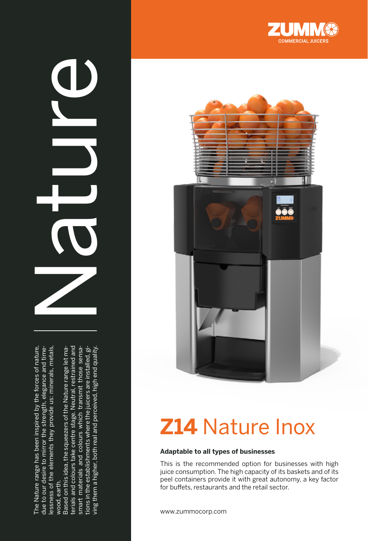The Nature range has been inspired by the forces of nature,<br>due to our desire to mirror the strength, elegance and time-<br>lessness of the elements they provide us: minerals, metals,<br>wood, earth.<br>Based on this idea, the sque

 $\mathbf 0$ 





# **Z14** Nature Inox

#### **Adaptable to all types of businesses**

This is the recommended option for businesses with high juice consumption. The high capacity of its baskets and of its peel containers provide it with great autonomy, a key factor for buffets, restaurants and the retail sector.

www.zummocorp.com